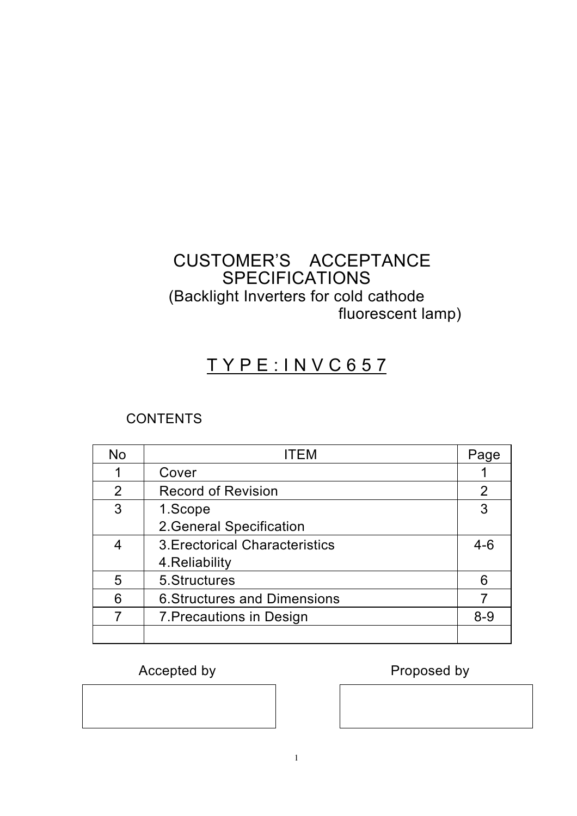## CUSTOMER'S ACCEPTANCE **SPECIFICATIONS** (Backlight Inverters for cold cathode fluorescent lamp)

# T Y P E : I N V C 6 5 7

## **CONTENTS**

| <b>No</b>      | ITFM                                  | Page           |
|----------------|---------------------------------------|----------------|
|                | Cover                                 |                |
| $\overline{2}$ | <b>Record of Revision</b>             | $\overline{2}$ |
| 3              | 1.Scope                               | 3              |
|                | 2. General Specification              |                |
| 4              | <b>3. Erectorical Characteristics</b> | $4 - 6$        |
|                | 4. Reliability                        |                |
| 5              | 5. Structures                         | 6              |
| 6              | <b>6. Structures and Dimensions</b>   | 7              |
| 7              | 7. Precautions in Design              | $8 - 9$        |
|                |                                       |                |

## Accepted by **Proposed by** Proposed by

1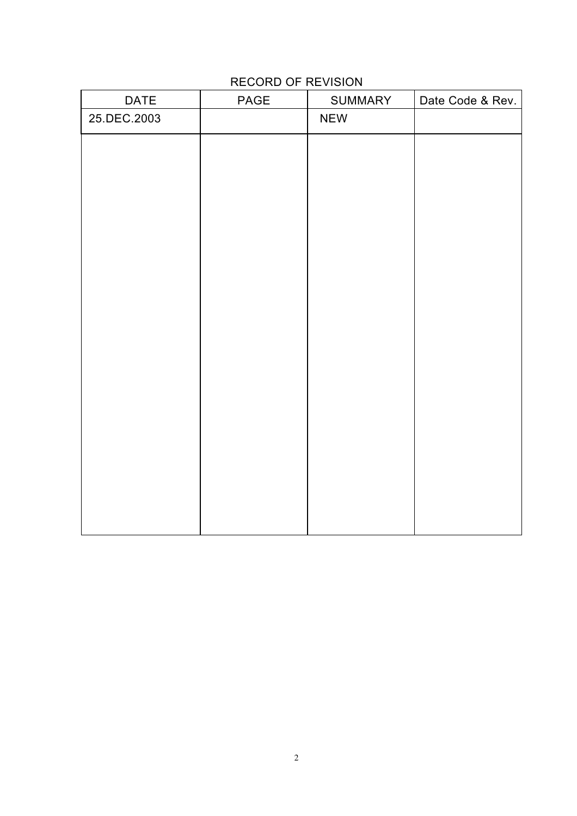## RECORD OF REVISION

| DATE        | PAGE | SUMMARY    | Date Code & Rev. |
|-------------|------|------------|------------------|
| 25.DEC.2003 |      | <b>NEW</b> |                  |
|             |      |            |                  |
|             |      |            |                  |
|             |      |            |                  |
|             |      |            |                  |
|             |      |            |                  |
|             |      |            |                  |
|             |      |            |                  |
|             |      |            |                  |
|             |      |            |                  |
|             |      |            |                  |
|             |      |            |                  |
|             |      |            |                  |
|             |      |            |                  |
|             |      |            |                  |
|             |      |            |                  |
|             |      |            |                  |
|             |      |            |                  |
|             |      |            |                  |
|             |      |            |                  |
|             |      |            |                  |
|             |      |            |                  |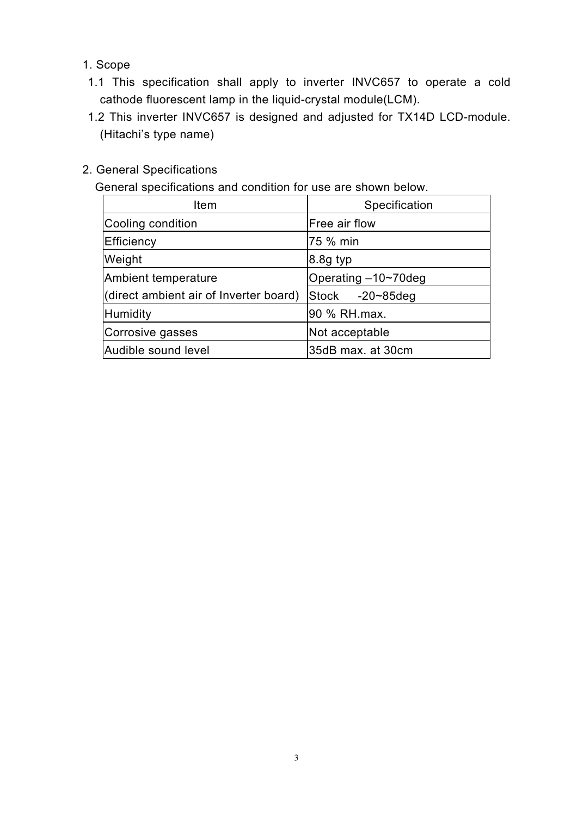- 1. Scope
- 1.1 This specification shall apply to inverter INVC657 to operate a cold cathode fluorescent lamp in the liquid-crystal module(LCM).
- 1.2 This inverter INVC657 is designed and adjusted for TX14D LCD-module. (Hitachi's type name)
- 2. General Specifications

General specifications and condition for use are shown below.

| Item                                   | Specification       |
|----------------------------------------|---------------------|
| Cooling condition                      | Free air flow       |
| Efficiency                             | 75 % min            |
| Weight                                 | $8.8g$ typ          |
| Ambient temperature                    | Operating -10~70deg |
| (direct ambient air of Inverter board) | Stock -20~85deg     |
| <b>Humidity</b>                        | 90 % RH.max.        |
| Corrosive gasses                       | Not acceptable      |
| Audible sound level                    | 35dB max. at 30cm   |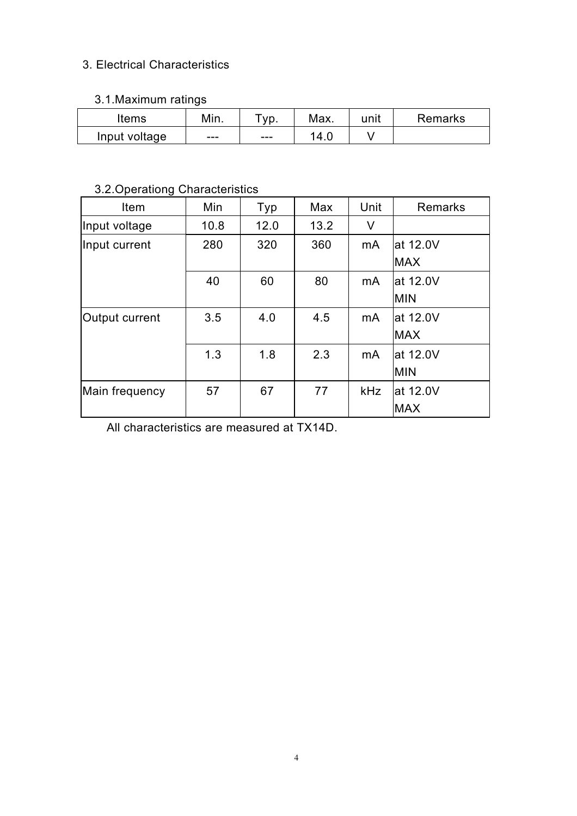#### 3. Electrical Characteristics

#### 3.1.Maximum ratings

| ⊯tems         | Min. | yp. | Max. | unit | Remarks |
|---------------|------|-----|------|------|---------|
| Input voltage | ---  | --- | 14.C |      |         |

## 3.2.Operationg Characteristics

| Item           | Min  | Typ  | Max  | Unit           | Remarks    |
|----------------|------|------|------|----------------|------------|
| Input voltage  | 10.8 | 12.0 | 13.2 | V              |            |
| Input current  | 280  | 320  | 360  | m <sub>A</sub> | at 12.0V   |
|                |      |      |      |                | <b>MAX</b> |
|                | 40   | 60   | 80   | mA             | at 12.0V   |
|                |      |      |      |                | <b>MIN</b> |
| Output current | 3.5  | 4.0  | 4.5  | m <sub>A</sub> | lat 12.0V  |
|                |      |      |      |                | <b>MAX</b> |
|                | 1.3  | 1.8  | 2.3  | m <sub>A</sub> | lat 12.0V  |
|                |      |      |      |                | <b>MIN</b> |
| Main frequency | 57   | 67   | 77   | <b>kHz</b>     | at 12.0V   |
|                |      |      |      |                | <b>MAX</b> |

All characteristics are measured at TX14D.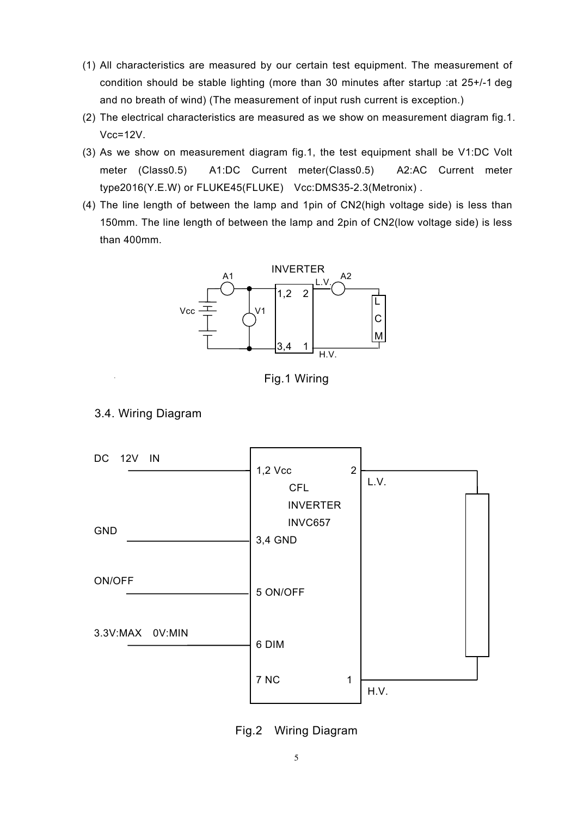- (1) All characteristics are measured by our certain test equipment. The measurement of condition should be stable lighting (more than 30 minutes after startup :at 25+/-1 deg and no breath of wind) (The measurement of input rush current is exception.)
- (2) The electrical characteristics are measured as we show on measurement diagram fig.1. Vcc=12V.
- (3) As we show on measurement diagram fig.1, the test equipment shall be V1:DC Volt meter (Class0.5) A1:DC Current meter(Class0.5) A2:AC Current meter type2016(Y.E.W) or FLUKE45(FLUKE) Vcc:DMS35-2.3(Metronix) .
- (4) The line length of between the lamp and 1pin of CN2(high voltage side) is less than 150mm. The line length of between the lamp and 2pin of CN2(low voltage side) is less than 400mm.



Fig.1 Wiring



#### 3.4. Wiring Diagram

Fig.2 Wiring Diagram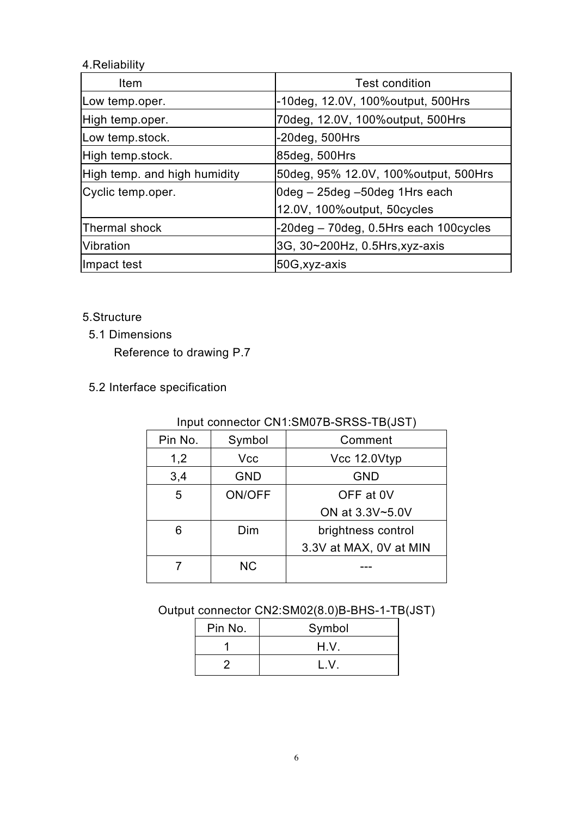### 4.Reliability

| <b>Item</b>                  | <b>Test condition</b>                     |
|------------------------------|-------------------------------------------|
| Low temp.oper.               | -10deg, 12.0V, 100% output, 500 Hrs       |
| High temp.oper.              | 70deg, 12.0V, 100% output, 500Hrs         |
| Low temp.stock.              | $-20deg$ , 500Hrs                         |
| High temp.stock.             | 85deg, 500Hrs                             |
| High temp. and high humidity | 50deg, 95% 12.0V, 100% output, 500 Hrs    |
| Cyclic temp.oper.            | 0deg – 25deg –50deg 1Hrs each             |
|                              | 12.0V, 100% output, 50 cycles             |
| <b>Thermal shock</b>         | $-20deg - 70deg$ , 0.5Hrs each 100 cycles |
| <b>Vibration</b>             | 3G, 30~200Hz, 0.5Hrs, xyz-axis            |
| Impact test                  | 50G, xyz-axis                             |

5.Structure

5.1 Dimensions

Reference to drawing P.7

5.2 Interface specification

| <u>111put comicctor ONT.OMOTO OROO TO(00T)</u> |            |                        |  |  |
|------------------------------------------------|------------|------------------------|--|--|
| Pin No.                                        | Symbol     | Comment                |  |  |
| 1,2                                            | Vcc        | Vcc 12.0Vtyp           |  |  |
| 3,4                                            | <b>GND</b> | <b>GND</b>             |  |  |
| 5                                              | ON/OFF     | OFF at 0V              |  |  |
|                                                |            | ON at 3.3V~5.0V        |  |  |
| 6                                              | Dim        | brightness control     |  |  |
|                                                |            | 3.3V at MAX, OV at MIN |  |  |
|                                                | <b>NC</b>  |                        |  |  |
|                                                |            |                        |  |  |

### Input connector CN1:SM07B-SRSS-TB(JST)

### Output connector CN2:SM02(8.0)B-BHS-1-TB(JST)

| Pin No. | Symbol |
|---------|--------|
|         | H.V.   |
|         | ΙV     |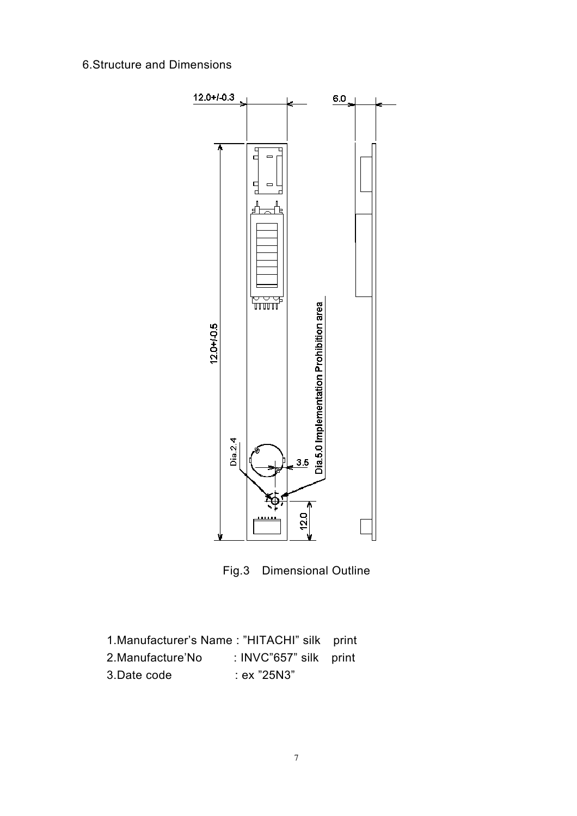### 6.Structure and Dimensions



Fig.3 Dimensional Outline

| 1. Manufacturer's Name: "HITACHI" silk print |                        |  |
|----------------------------------------------|------------------------|--|
| 2.Manufacture'No                             | : INVC"657" silk print |  |
| 3.Date code                                  | : ex "25N3"            |  |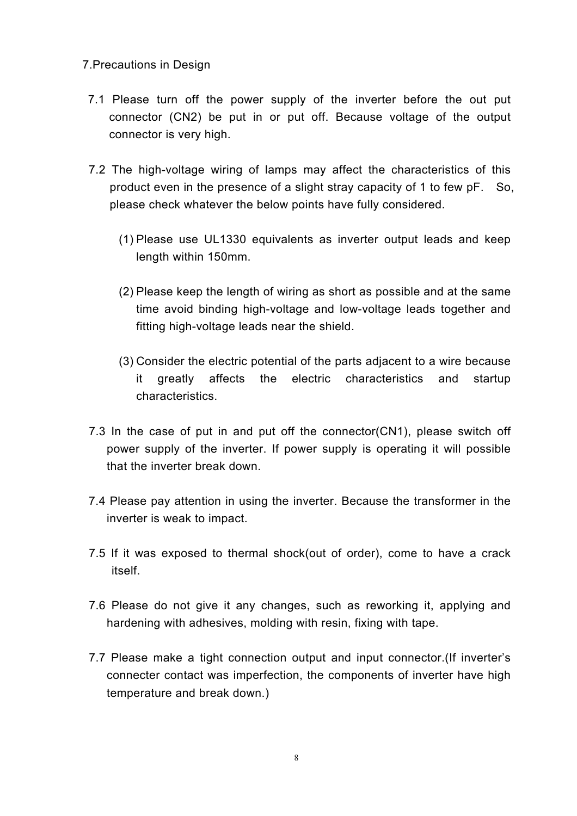#### 7.Precautions in Design

- 7.1 Please turn off the power supply of the inverter before the out put connector (CN2) be put in or put off. Because voltage of the output connector is very high.
- 7.2 The high-voltage wiring of lamps may affect the characteristics of this product even in the presence of a slight stray capacity of 1 to few pF. So, please check whatever the below points have fully considered.
	- (1) Please use UL1330 equivalents as inverter output leads and keep length within 150mm.
	- (2) Please keep the length of wiring as short as possible and at the same time avoid binding high-voltage and low-voltage leads together and fitting high-voltage leads near the shield.
	- (3) Consider the electric potential of the parts adjacent to a wire because it greatly affects the electric characteristics and startup characteristics.
- 7.3 In the case of put in and put off the connector(CN1), please switch off power supply of the inverter. If power supply is operating it will possible that the inverter break down.
- 7.4 Please pay attention in using the inverter. Because the transformer in the inverter is weak to impact.
- 7.5 If it was exposed to thermal shock(out of order), come to have a crack itself.
- 7.6 Please do not give it any changes, such as reworking it, applying and hardening with adhesives, molding with resin, fixing with tape.
- 7.7 Please make a tight connection output and input connector.(If inverter's connecter contact was imperfection, the components of inverter have high temperature and break down.)